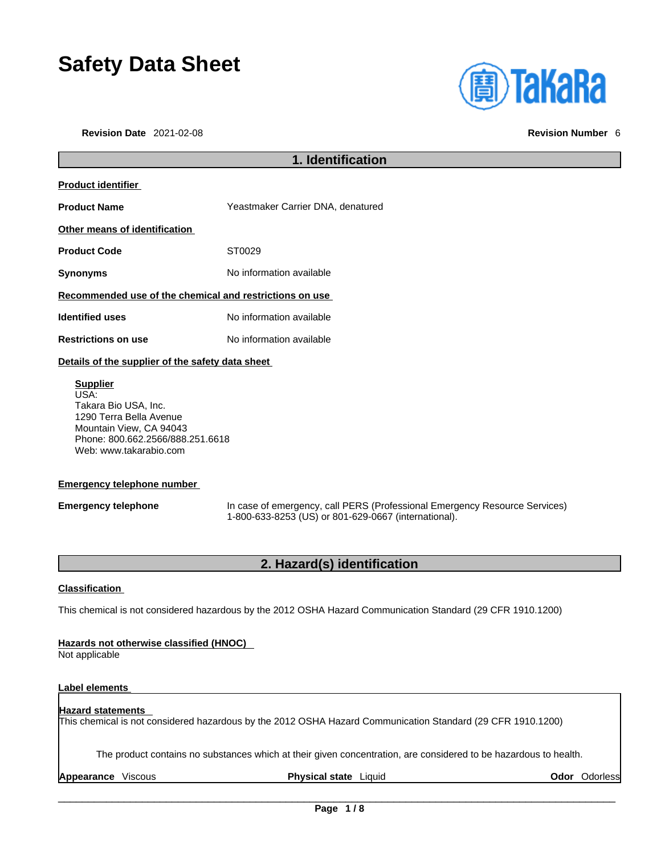# **Safety Data Sheet**

**Revision Date** 2021-02-08 **Revision Number** 6

| <b>(<u>a)</u> TaKaRa</b> |  |  |
|--------------------------|--|--|
|                          |  |  |
|                          |  |  |

## **1. Identification Product identifier Product Name** Yeastmaker Carrier DNA, denatured **Other means of identification** Product Code **ST0029 Synonyms** No information available **Recommended use of the chemical and restrictions on use Identified uses** No information available **Restrictions on use** No information available **Details of the supplier of the safety data sheet Supplier** USA:

Takara Bio USA, Inc. 1290 Terra Bella Avenue Mountain View, CA 94043 Phone: 800.662.2566/888.251.6618 Web: www.takarabio.com

#### **Emergency telephone number**

**Emergency telephone** In case of emergency, call PERS (Professional Emergency Resource Services) 1-800-633-8253 (US) or 801-629-0667 (international).

### **2. Hazard(s) identification**

#### **Classification**

This chemical is not considered hazardous by the 2012 OSHA Hazard Communication Standard (29 CFR 1910.1200)

#### **Hazards not otherwise classified (HNOC)**

Not applicable

#### **Label elements**

#### **Hazard statements**

This chemical is not considered hazardous by the 2012 OSHA Hazard Communication Standard (29 CFR 1910.1200)

The product contains no substances which at their given concentration, are considered to be hazardous to health.

**Appearance** Viscous **Physical state** Liquid **Odor** Odorless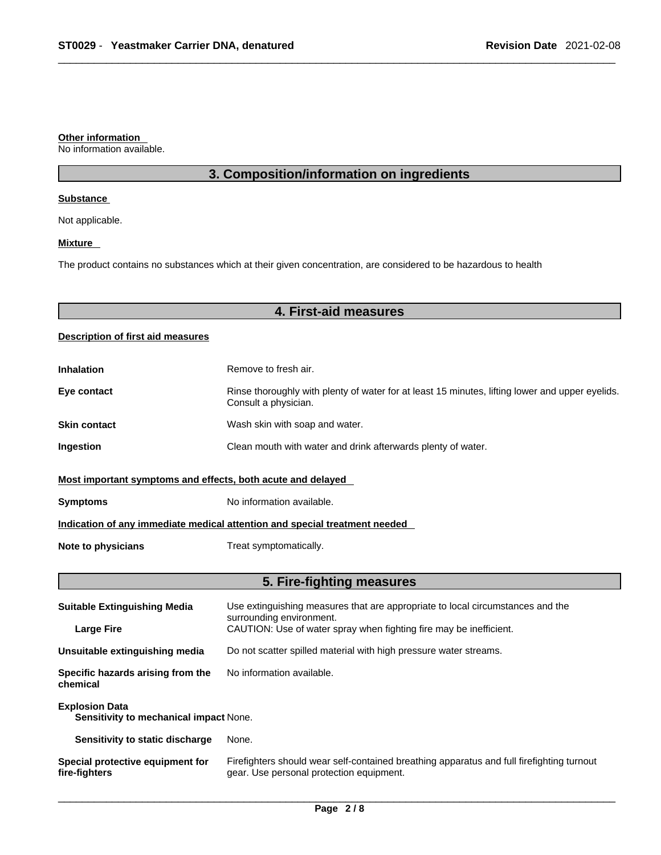#### **Other information**

No information available.

### **3. Composition/information on ingredients**

#### **Substance**

Not applicable.

#### **Mixture**

The product contains no substances which at their given concentration, are considered to be hazardous to health

### **4. First-aid measures**

#### **Description of first aid measures**

| <b>Inhalation</b>                                                          | Remove to fresh air.                                                                                                    |  |
|----------------------------------------------------------------------------|-------------------------------------------------------------------------------------------------------------------------|--|
| Eye contact                                                                | Rinse thoroughly with plenty of water for at least 15 minutes, lifting lower and upper eyelids.<br>Consult a physician. |  |
| <b>Skin contact</b>                                                        | Wash skin with soap and water.                                                                                          |  |
| Ingestion                                                                  | Clean mouth with water and drink afterwards plenty of water.                                                            |  |
| Most important symptoms and effects, both acute and delayed                |                                                                                                                         |  |
| <b>Symptoms</b>                                                            | No information available.                                                                                               |  |
| Indication of any immediate medical attention and special treatment needed |                                                                                                                         |  |
| Note to physicians                                                         | Treat symptomatically.                                                                                                  |  |

### **5. Fire-fighting measures**

| <b>Suitable Extinguishing Media</b>                             | Use extinguishing measures that are appropriate to local circumstances and the<br>surrounding environment.                            |  |
|-----------------------------------------------------------------|---------------------------------------------------------------------------------------------------------------------------------------|--|
| <b>Large Fire</b>                                               | CAUTION: Use of water spray when fighting fire may be inefficient.                                                                    |  |
| Unsuitable extinguishing media                                  | Do not scatter spilled material with high pressure water streams.                                                                     |  |
| Specific hazards arising from the<br>chemical                   | No information available.                                                                                                             |  |
| <b>Explosion Data</b><br>Sensitivity to mechanical impact None. |                                                                                                                                       |  |
| Sensitivity to static discharge                                 | None.                                                                                                                                 |  |
| Special protective equipment for<br>fire-fighters               | Firefighters should wear self-contained breathing apparatus and full firefighting turnout<br>gear. Use personal protection equipment. |  |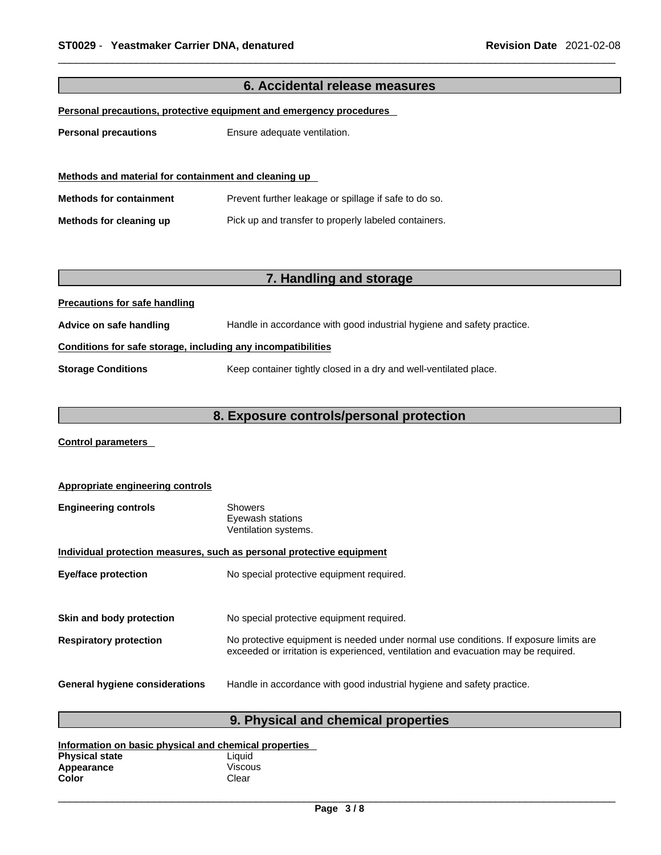| 6. Accidental release measures                               |                                                                        |  |
|--------------------------------------------------------------|------------------------------------------------------------------------|--|
|                                                              | Personal precautions, protective equipment and emergency procedures    |  |
|                                                              |                                                                        |  |
| <b>Personal precautions</b>                                  | Ensure adequate ventilation.                                           |  |
|                                                              |                                                                        |  |
| Methods and material for containment and cleaning up         |                                                                        |  |
| <b>Methods for containment</b>                               | Prevent further leakage or spillage if safe to do so.                  |  |
| Methods for cleaning up                                      | Pick up and transfer to properly labeled containers.                   |  |
|                                                              |                                                                        |  |
|                                                              |                                                                        |  |
|                                                              | 7. Handling and storage                                                |  |
| <b>Precautions for safe handling</b>                         |                                                                        |  |
| Advice on safe handling                                      | Handle in accordance with good industrial hygiene and safety practice. |  |
| Conditions for safe storage, including any incompatibilities |                                                                        |  |
| <b>Storage Conditions</b>                                    | Keep container tightly closed in a dry and well-ventilated place.      |  |
|                                                              |                                                                        |  |
|                                                              | 8. Exposure controls/personal protection                               |  |
| <b>Control parameters</b>                                    |                                                                        |  |

| Appropriate engineering controls                                      |                                                                                                                                                                             |  |
|-----------------------------------------------------------------------|-----------------------------------------------------------------------------------------------------------------------------------------------------------------------------|--|
| <b>Engineering controls</b>                                           | <b>Showers</b><br>Eyewash stations<br>Ventilation systems.                                                                                                                  |  |
| Individual protection measures, such as personal protective equipment |                                                                                                                                                                             |  |
| <b>Eye/face protection</b>                                            | No special protective equipment required.                                                                                                                                   |  |
|                                                                       |                                                                                                                                                                             |  |
| Skin and body protection                                              | No special protective equipment required.                                                                                                                                   |  |
| <b>Respiratory protection</b>                                         | No protective equipment is needed under normal use conditions. If exposure limits are<br>exceeded or irritation is experienced, ventilation and evacuation may be required. |  |
| <b>General hygiene considerations</b>                                 | Handle in accordance with good industrial hygiene and safety practice.                                                                                                      |  |

### **9. Physical and chemical properties**

| Information on basic physical and chemical properties |                |  |
|-------------------------------------------------------|----------------|--|
| <b>Physical state</b>                                 | Liauid         |  |
| Appearance                                            | <b>Viscous</b> |  |
| Color                                                 | Clear          |  |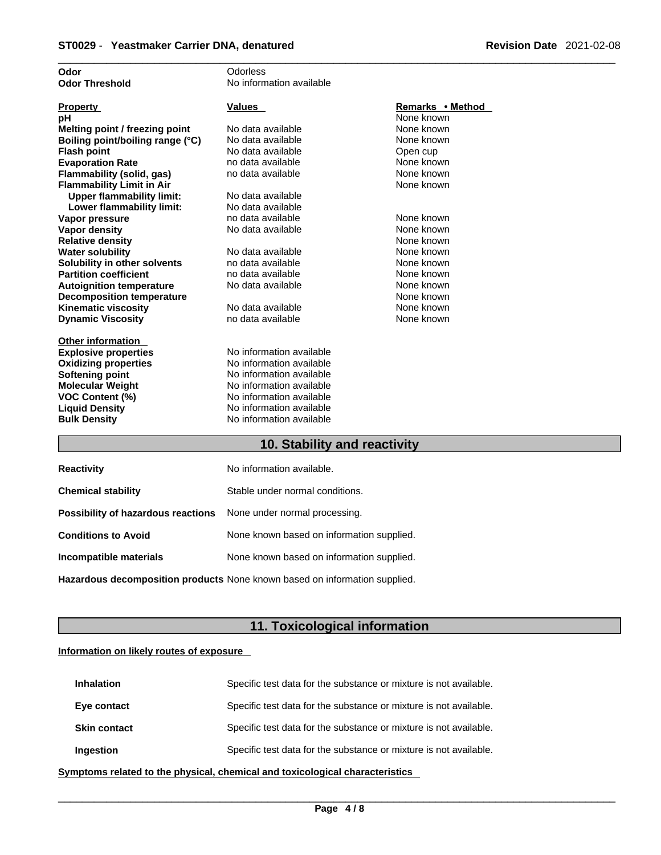| Odor                             | Odorless                 |                  |
|----------------------------------|--------------------------|------------------|
| <b>Odor Threshold</b>            | No information available |                  |
|                                  |                          |                  |
| <b>Property</b>                  | <b>Values</b>            | Remarks • Method |
| рH                               |                          | None known       |
| Melting point / freezing point   | No data available        | None known       |
| Boiling point/boiling range (°C) | No data available        | None known       |
| <b>Flash point</b>               | No data available        | Open cup         |
| <b>Evaporation Rate</b>          | no data available        | None known       |
| Flammability (solid, gas)        | no data available        | None known       |
| <b>Flammability Limit in Air</b> |                          | None known       |
| <b>Upper flammability limit:</b> | No data available        |                  |
| Lower flammability limit:        | No data available        |                  |
| Vapor pressure                   | no data available        | None known       |
| <b>Vapor density</b>             | No data available        | None known       |
| <b>Relative density</b>          |                          | None known       |
| <b>Water solubility</b>          | No data available        | None known       |
| Solubility in other solvents     | no data available        | None known       |
| <b>Partition coefficient</b>     | no data available        | None known       |
| <b>Autoignition temperature</b>  | No data available        | None known       |
| <b>Decomposition temperature</b> |                          | None known       |
| <b>Kinematic viscosity</b>       | No data available        | None known       |
| <b>Dynamic Viscosity</b>         | no data available        | None known       |
|                                  |                          |                  |
| <b>Other information</b>         |                          |                  |
| <b>Explosive properties</b>      | No information available |                  |
| <b>Oxidizing properties</b>      | No information available |                  |
| Softening point                  | No information available |                  |
| <b>Molecular Weight</b>          | No information available |                  |
| VOC Content (%)                  | No information available |                  |
| <b>Liquid Density</b>            | No information available |                  |
| <b>Bulk Density</b>              | No information available |                  |
|                                  |                          |                  |

### **10. Stability and reactivity**

| <b>Reactivity</b>                                                       | No information available.                 |
|-------------------------------------------------------------------------|-------------------------------------------|
| <b>Chemical stability</b>                                               | Stable under normal conditions.           |
| <b>Possibility of hazardous reactions</b> None under normal processing. |                                           |
| <b>Conditions to Avoid</b>                                              | None known based on information supplied. |
| Incompatible materials                                                  | None known based on information supplied. |
|                                                                         |                                           |

**Hazardous decomposition products** None known based on information supplied.

### **11. Toxicological information**

#### **Information on likely routes of exposure**

| <b>Inhalation</b>   | Specific test data for the substance or mixture is not available. |
|---------------------|-------------------------------------------------------------------|
| Eye contact         | Specific test data for the substance or mixture is not available. |
| <b>Skin contact</b> | Specific test data for the substance or mixture is not available. |
| Ingestion           | Specific test data for the substance or mixture is not available. |

**<u>Symptoms related to the physical, chemical and toxicological characteristics</u>**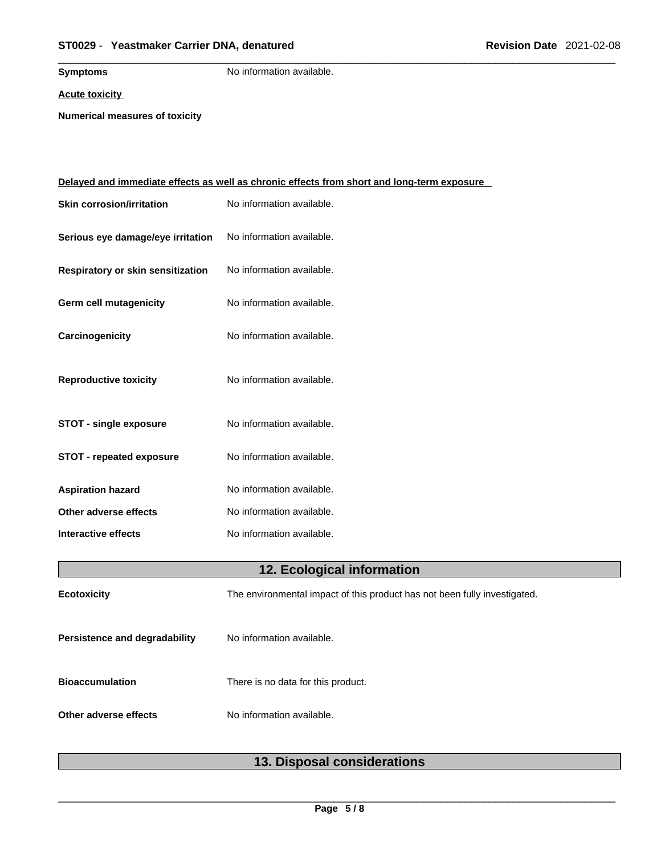**Symptoms** No information available.

**Acute toxicity**

**Numerical measures of toxicity**

|                                   | <u>Delayed and immediate effects as well as chronic effects from short and long-term exposure</u> |  |
|-----------------------------------|---------------------------------------------------------------------------------------------------|--|
| <b>Skin corrosion/irritation</b>  | No information available.                                                                         |  |
| Serious eye damage/eye irritation | No information available.                                                                         |  |
| Respiratory or skin sensitization | No information available.                                                                         |  |
| Germ cell mutagenicity            | No information available.                                                                         |  |
| Carcinogenicity                   | No information available.                                                                         |  |
| <b>Reproductive toxicity</b>      | No information available.                                                                         |  |
| <b>STOT - single exposure</b>     | No information available.                                                                         |  |
| <b>STOT - repeated exposure</b>   | No information available.                                                                         |  |
| <b>Aspiration hazard</b>          | No information available.                                                                         |  |
| Other adverse effects             | No information available.                                                                         |  |
| <b>Interactive effects</b>        | No information available.                                                                         |  |
| 12. Ecological information        |                                                                                                   |  |
| Ecotoxicity                       | The environmental impact of this product has not been fully investigated.                         |  |
| Persistence and degradability     | No information available.                                                                         |  |
| <b>Bioaccumulation</b>            | There is no data for this product.                                                                |  |
| Other adverse effects             | No information available.                                                                         |  |
|                                   |                                                                                                   |  |

### **13. Disposal considerations**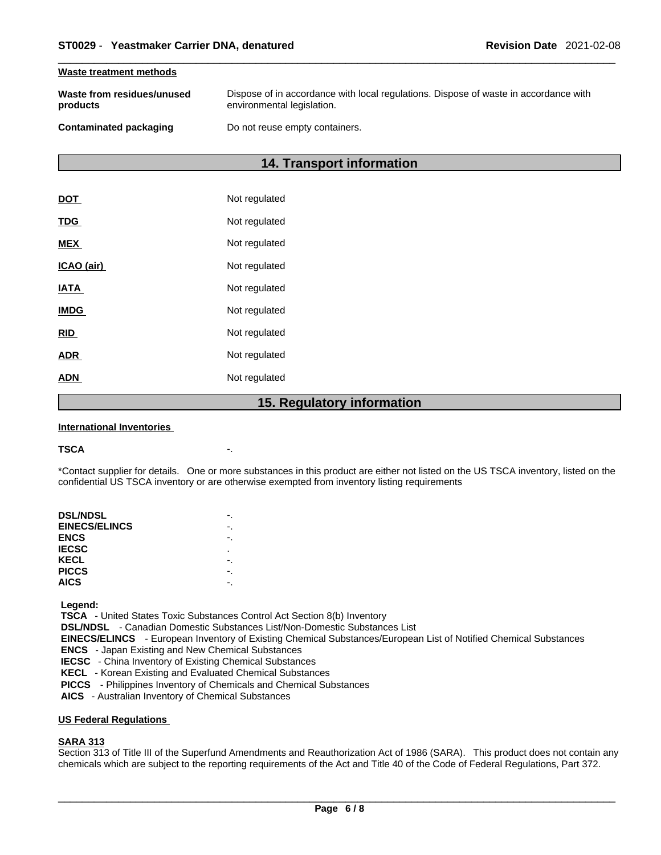#### **Waste treatment methods**

| Waste from residues/unused | Dispose of in accordance with local regulations. Dispose of waste in accordance with |
|----------------------------|--------------------------------------------------------------------------------------|
| products                   | environmental legislation.                                                           |
|                            |                                                                                      |

#### **Contaminated packaging Do not reuse empty containers.**

### **14. Transport information**

|             | $D$ $O$ $N$<br>1 E |
|-------------|--------------------|
| <b>ADN</b>  | Not regulated      |
| <b>ADR</b>  | Not regulated      |
| <b>RID</b>  | Not regulated      |
| <b>IMDG</b> | Not regulated      |
| <b>IATA</b> | Not regulated      |
| ICAO (air)  | Not regulated      |
| <b>MEX</b>  | Not regulated      |
| <b>TDG</b>  | Not regulated      |
| DOT         | Not regulated      |

#### **15. Regulatory information**

#### **International Inventories**

#### **TSCA** -.

\*Contact supplier for details. One or more substances in this product are either not listed on the US TSCA inventory, listed on the confidential US TSCA inventory or are otherwise exempted from inventory listing requirements

| <b>DSL/NDSL</b>      |   |
|----------------------|---|
| <b>EINECS/ELINCS</b> |   |
| <b>ENCS</b>          |   |
| <b>IECSC</b>         | ٠ |
| KECL                 |   |
| <b>PICCS</b>         |   |
| <b>AICS</b>          |   |
|                      |   |

 **Legend:** 

 **TSCA** - United States Toxic Substances Control Act Section 8(b) Inventory

 **DSL/NDSL** - Canadian Domestic Substances List/Non-Domestic Substances List

 **EINECS/ELINCS** - European Inventory of Existing Chemical Substances/European List of Notified Chemical Substances

 **ENCS** - Japan Existing and New Chemical Substances

 **IECSC** - China Inventory of Existing Chemical Substances

 **KECL** - Korean Existing and Evaluated Chemical Substances

 **PICCS** - Philippines Inventory of Chemicals and Chemical Substances

 **AICS** - Australian Inventory of Chemical Substances

#### **US Federal Regulations**

#### **SARA 313**

Section 313 of Title III of the Superfund Amendments and Reauthorization Act of 1986 (SARA). This product does not contain any chemicals which are subject to the reporting requirements of the Act and Title 40 of the Code of Federal Regulations, Part 372.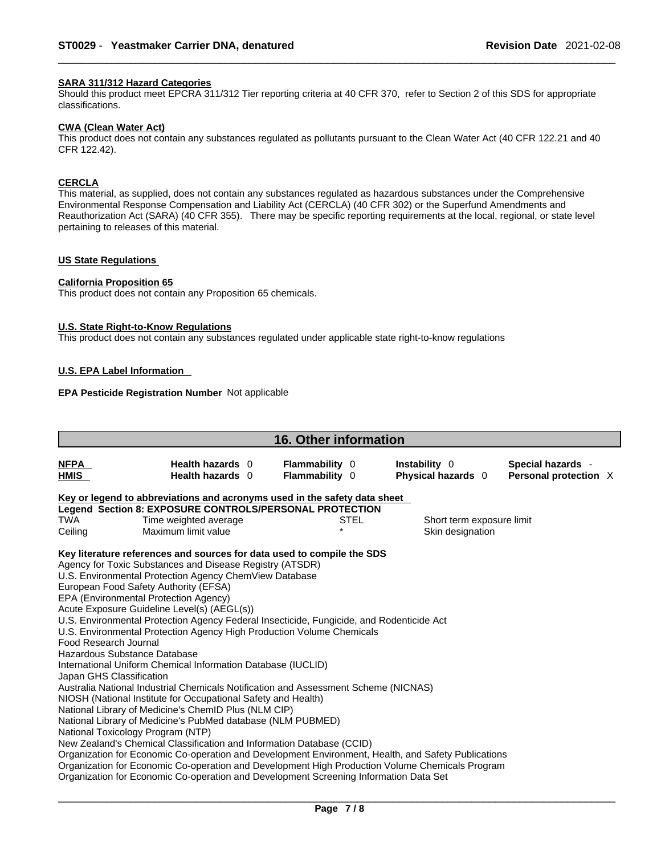#### **SARA 311/312 Hazard Categories**

Should this product meet EPCRA 311/312 Tier reporting criteria at 40 CFR 370, refer to Section 2 of this SDS for appropriate classifications.

#### **CWA (Clean WaterAct)**

This product does not contain any substances regulated as pollutants pursuant to the Clean Water Act (40 CFR 122.21 and 40 CFR 122.42).

### **CERCLA**

This material, as supplied, does not contain any substances regulated as hazardous substances under the Comprehensive Environmental Response Compensation and Liability Act (CERCLA) (40 CFR 302) or the Superfund Amendments and Reauthorization Act (SARA) (40 CFR 355). There may be specific reporting requirements at the local, regional, or state level pertaining to releases of this material.

#### **US State Regulations**

#### **California Proposition 65**

This product does not contain any Proposition 65 chemicals.

#### **U.S. State Right-to-Know Regulations**

This product does not contain any substances regulated under applicable state right-to-know regulations

#### **U.S. EPA Label Information**

#### **EPA Pesticide Registration Number** Not applicable